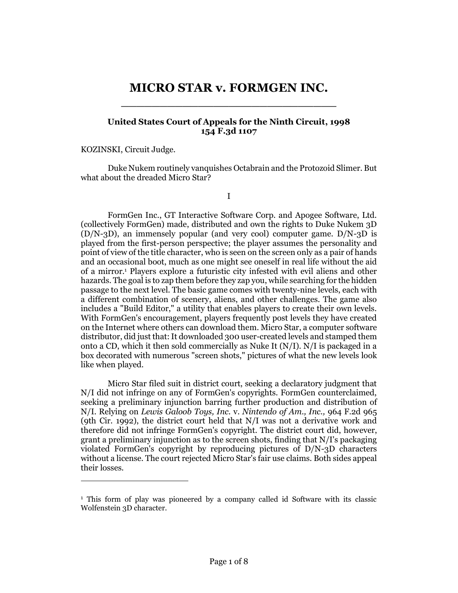## **MICRO STAR v. FORMGEN INC.** \_\_\_\_\_\_\_\_\_\_\_\_\_\_\_\_\_\_\_\_\_\_\_\_\_\_\_\_

## **United States Court of Appeals for the Ninth Circuit, 1998 154 F.3d 1107**

KOZINSKI, Circuit Judge.

 $\overline{a}$ 

Duke Nukem routinely vanquishes Octabrain and the Protozoid Slimer. But what about the dreaded Micro Star?

I

FormGen Inc., GT Interactive Software Corp. and Apogee Software, Ltd. (collectively FormGen) made, distributed and own the rights to Duke Nukem 3D (D/N-3D), an immensely popular (and very cool) computer game. D/N-3D is played from the first-person perspective; the player assumes the personality and point of view of the title character, who is seen on the screen only as a pair of hands and an occasional boot, much as one might see oneself in real life without the aid of a mirror.<sup>1</sup> Players explore a futuristic city infested with evil aliens and other hazards. The goal is to zap them before they zap you, while searching for the hidden passage to the next level. The basic game comes with twenty-nine levels, each with a different combination of scenery, aliens, and other challenges. The game also includes a "Build Editor," a utility that enables players to create their own levels. With FormGen's encouragement, players frequently post levels they have created on the Internet where others can download them. Micro Star, a computer software distributor, did just that: It downloaded 300 user-created levels and stamped them onto a CD, which it then sold commercially as Nuke It (N/I). N/I is packaged in a box decorated with numerous "screen shots," pictures of what the new levels look like when played.

Micro Star filed suit in district court, seeking a declaratory judgment that N/I did not infringe on any of FormGen's copyrights. FormGen counterclaimed, seeking a preliminary injunction barring further production and distribution of N/I. Relying on *Lewis Galoob Toys, Inc.* v. *Nintendo of Am., Inc.,* 964 F.2d 965 (9th Cir. 1992), the district court held that N/I was not a derivative work and therefore did not infringe FormGen's copyright. The district court did, however, grant a preliminary injunction as to the screen shots, finding that N/I's packaging violated FormGen's copyright by reproducing pictures of D/N-3D characters without a license. The court rejected Micro Star's fair use claims. Both sides appeal their losses.

<sup>1</sup> This form of play was pioneered by a company called id Software with its classic Wolfenstein 3D character.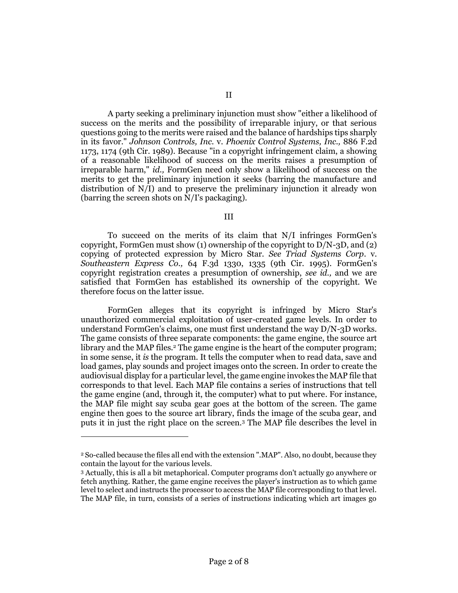A party seeking a preliminary injunction must show "either a likelihood of success on the merits and the possibility of irreparable injury, or that serious questions going to the merits were raised and the balance of hardships tips sharply in its favor." *Johnson Controls, Inc.* v. *Phoenix Control Systems, Inc.,* 886 F.2d 1173, 1174 (9th Cir. 1989). Because "in a copyright infringement claim, a showing of a reasonable likelihood of success on the merits raises a presumption of irreparable harm," *id.,* FormGen need only show a likelihood of success on the merits to get the preliminary injunction it seeks (barring the manufacture and distribution of N/I) and to preserve the preliminary injunction it already won (barring the screen shots on N/I's packaging).

## III

To succeed on the merits of its claim that N/I infringes FormGen's copyright, FormGen must show (1) ownership of the copyright to  $D/N$ -3D, and (2) copying of protected expression by Micro Star. *See Triad Systems Corp*. v. *Southeastern Express Co.,* 64 F.3d 1330, 1335 (9th Cir. 1995). FormGen's copyright registration creates a presumption of ownership, *see id.,* and we are satisfied that FormGen has established its ownership of the copyright. We therefore focus on the latter issue.

FormGen alleges that its copyright is infringed by Micro Star's unauthorized commercial exploitation of user-created game levels. In order to understand FormGen's claims, one must first understand the way D/N-3D works. The game consists of three separate components: the game engine, the source art library and the MAP files.<sup>2</sup> The game engine is the heart of the computer program; in some sense, it *is* the program. It tells the computer when to read data, save and load games, play sounds and project images onto the screen. In order to create the audiovisual display for a particular level, the game engine invokes the MAP file that corresponds to that level. Each MAP file contains a series of instructions that tell the game engine (and, through it, the computer) what to put where. For instance, the MAP file might say scuba gear goes at the bottom of the screen. The game engine then goes to the source art library, finds the image of the scuba gear, and puts it in just the right place on the screen.<sup>3</sup> The MAP file describes the level in

<sup>2</sup> So-called because the files all end with the extension ".MAP". Also, no doubt, because they contain the layout for the various levels.

<sup>3</sup> Actually, this is all a bit metaphorical. Computer programs don't actually go anywhere or fetch anything. Rather, the game engine receives the player's instruction as to which game level to select and instructs the processor to access the MAP file corresponding to that level. The MAP file, in turn, consists of a series of instructions indicating which art images go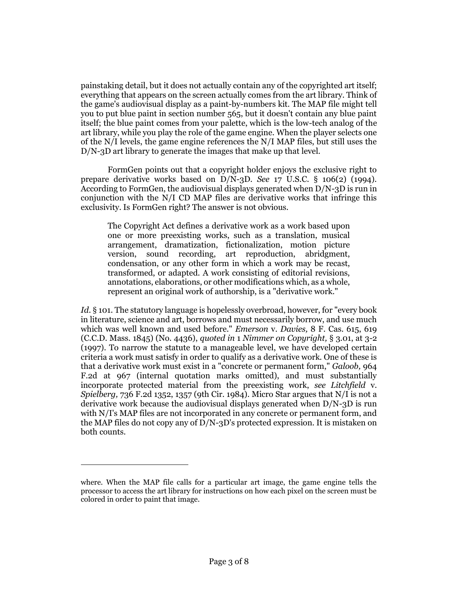painstaking detail, but it does not actually contain any of the copyrighted art itself; everything that appears on the screen actually comes from the art library. Think of the game's audiovisual display as a paint-by-numbers kit. The MAP file might tell you to put blue paint in section number 565, but it doesn't contain any blue paint itself; the blue paint comes from your palette, which is the low-tech analog of the art library, while you play the role of the game engine. When the player selects one of the N/I levels, the game engine references the N/I MAP files, but still uses the D/N-3D art library to generate the images that make up that level.

FormGen points out that a copyright holder enjoys the exclusive right to prepare derivative works based on D/N-3D. *See* 17 U.S.C. § 106(2) (1994). According to FormGen, the audiovisual displays generated when D/N-3D is run in conjunction with the N/I CD MAP files are derivative works that infringe this exclusivity. Is FormGen right? The answer is not obvious.

The Copyright Act defines a derivative work as a work based upon one or more preexisting works, such as a translation, musical arrangement, dramatization, fictionalization, motion picture version, sound recording, art reproduction, abridgment, condensation, or any other form in which a work may be recast, transformed, or adapted. A work consisting of editorial revisions, annotations, elaborations, or other modifications which, as a whole, represent an original work of authorship, is a "derivative work."

*Id*. § 101. The statutory language is hopelessly overbroad, however, for "every book in literature, science and art, borrows and must necessarily borrow, and use much which was well known and used before." *Emerson* v. *Davies,* 8 F. Cas. 615, 619 (C.C.D. Mass. 1845) (No. 4436), *quoted in* 1 *Nimmer on Copyright,* § 3.01, at 3-2 (1997). To narrow the statute to a manageable level, we have developed certain criteria a work must satisfy in order to qualify as a derivative work. One of these is that a derivative work must exist in a "concrete or permanent form," *Galoob,* 964 F.2d at 967 (internal quotation marks omitted), and must substantially incorporate protected material from the preexisting work, *see Litchfield* v. *Spielberg,* 736 F.2d 1352, 1357 (9th Cir. 1984). Micro Star argues that N/I is not a derivative work because the audiovisual displays generated when D/N-3D is run with N/I's MAP files are not incorporated in any concrete or permanent form, and the MAP files do not copy any of D/N-3D's protected expression. It is mistaken on both counts.

where. When the MAP file calls for a particular art image, the game engine tells the processor to access the art library for instructions on how each pixel on the screen must be colored in order to paint that image.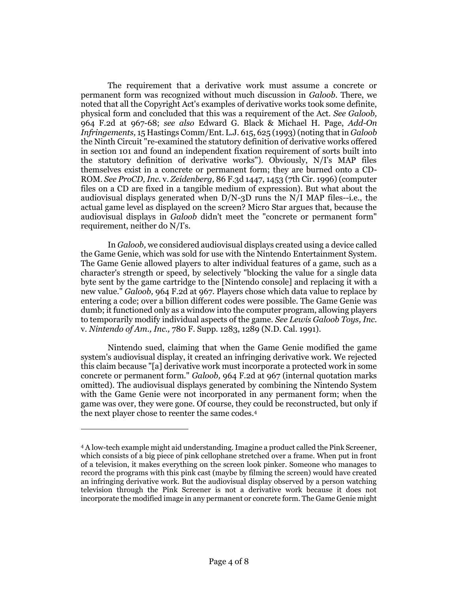The requirement that a derivative work must assume a concrete or permanent form was recognized without much discussion in *Galoob*. There, we noted that all the Copyright Act's examples of derivative works took some definite, physical form and concluded that this was a requirement of the Act. *See Galoob,* 964 F.2d at 967-68; *see also* Edward G. Black & Michael H. Page, *Add-On Infringements,* 15 Hastings Comm/Ent. L.J. 615, 625 (1993) (noting that in *Galoob* the Ninth Circuit "re-examined the statutory definition of derivative works offered in section 101 and found an independent fixation requirement of sorts built into the statutory definition of derivative works"). Obviously, N/I's MAP files themselves exist in a concrete or permanent form; they are burned onto a CD-ROM. *See ProCD, Inc.* v. *Zeidenberg,* 86 F.3d 1447, 1453 (7th Cir. 1996) (computer files on a CD are fixed in a tangible medium of expression). But what about the audiovisual displays generated when D/N-3D runs the N/I MAP files--i.e., the actual game level as displayed on the screen? Micro Star argues that, because the audiovisual displays in *Galoob* didn't meet the "concrete or permanent form" requirement, neither do N/I's.

In *Galoob,* we considered audiovisual displays created using a device called the Game Genie, which was sold for use with the Nintendo Entertainment System. The Game Genie allowed players to alter individual features of a game, such as a character's strength or speed, by selectively "blocking the value for a single data byte sent by the game cartridge to the [Nintendo console] and replacing it with a new value." *Galoob,* 964 F.2d at 967. Players chose which data value to replace by entering a code; over a billion different codes were possible. The Game Genie was dumb; it functioned only as a window into the computer program, allowing players to temporarily modify individual aspects of the game. *See Lewis Galoob Toys, Inc.* v. *Nintendo of Am., Inc.,* 780 F. Supp. 1283, 1289 (N.D. Cal. 1991).

Nintendo sued, claiming that when the Game Genie modified the game system's audiovisual display, it created an infringing derivative work. We rejected this claim because "[a] derivative work must incorporate a protected work in some concrete or permanent form." *Galoob,* 964 F.2d at 967 (internal quotation marks omitted). The audiovisual displays generated by combining the Nintendo System with the Game Genie were not incorporated in any permanent form; when the game was over, they were gone. Of course, they could be reconstructed, but only if the next player chose to reenter the same codes.<sup>4</sup>

<sup>4</sup> A low-tech example might aid understanding. Imagine a product called the Pink Screener, which consists of a big piece of pink cellophane stretched over a frame. When put in front of a television, it makes everything on the screen look pinker. Someone who manages to record the programs with this pink cast (maybe by filming the screen) would have created an infringing derivative work. But the audiovisual display observed by a person watching television through the Pink Screener is not a derivative work because it does not incorporate the modified image in any permanent or concrete form. The Game Genie might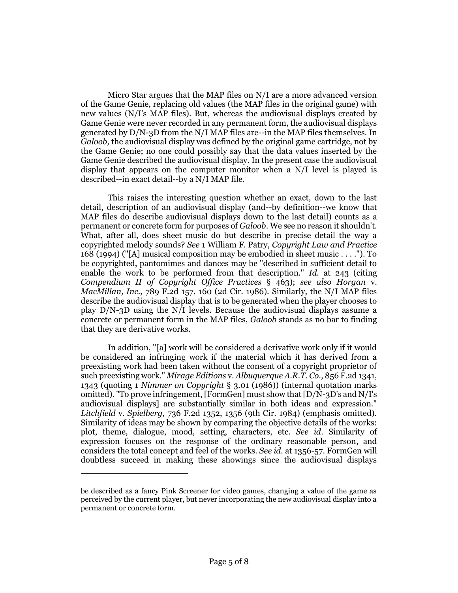Micro Star argues that the MAP files on N/I are a more advanced version of the Game Genie, replacing old values (the MAP files in the original game) with new values (N/I's MAP files). But, whereas the audiovisual displays created by Game Genie were never recorded in any permanent form, the audiovisual displays generated by D/N-3D from the N/I MAP files are--in the MAP files themselves. In *Galoob,* the audiovisual display was defined by the original game cartridge, not by the Game Genie; no one could possibly say that the data values inserted by the Game Genie described the audiovisual display. In the present case the audiovisual display that appears on the computer monitor when a N/I level is played is described--in exact detail--by a N/I MAP file.

This raises the interesting question whether an exact, down to the last detail, description of an audiovisual display (and--by definition--we know that MAP files do describe audiovisual displays down to the last detail) counts as a permanent or concrete form for purposes of *Galoob*. We see no reason it shouldn't. What, after all, does sheet music do but describe in precise detail the way a copyrighted melody sounds? *See* 1 William F. Patry, *Copyright Law and Practice* 168 (1994) ("[A] musical composition may be embodied in sheet music . . . ."). To be copyrighted, pantomimes and dances may be "described in sufficient detail to enable the work to be performed from that description." *Id.* at 243 (citing *Compendium II of Copyright Office Practices* § 463); *see also Horgan* v. *MacMillan, Inc.,* 789 F.2d 157, 160 (2d Cir. 1986). Similarly, the N/I MAP files describe the audiovisual display that is to be generated when the player chooses to play D/N-3D using the N/I levels. Because the audiovisual displays assume a concrete or permanent form in the MAP files, *Galoob* stands as no bar to finding that they are derivative works.

In addition, "[a] work will be considered a derivative work only if it would be considered an infringing work if the material which it has derived from a preexisting work had been taken without the consent of a copyright proprietor of such preexisting work." *Mirage Editions* v. *Albuquerque A.R.T. Co.,* 856 F.2d 1341, 1343 (quoting 1 *Nimmer on Copyright* § 3.01 (1986)) (internal quotation marks omitted). "To prove infringement, [FormGen] must show that [D/N-3D's and N/I's audiovisual displays] are substantially similar in both ideas and expression." *Litchfield* v. *Spielberg,* 736 F.2d 1352, 1356 (9th Cir. 1984) (emphasis omitted). Similarity of ideas may be shown by comparing the objective details of the works: plot, theme, dialogue, mood, setting, characters, etc. *See id*. Similarity of expression focuses on the response of the ordinary reasonable person, and considers the total concept and feel of the works. *See id.* at 1356-57. FormGen will doubtless succeed in making these showings since the audiovisual displays

be described as a fancy Pink Screener for video games, changing a value of the game as perceived by the current player, but never incorporating the new audiovisual display into a permanent or concrete form.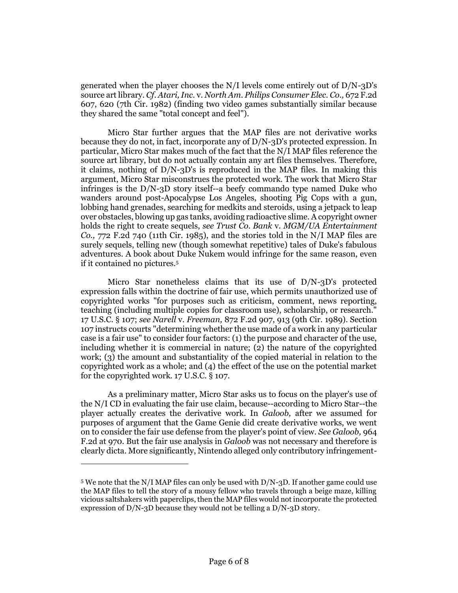generated when the player chooses the N/I levels come entirely out of D/N-3D's source art library. *Cf. Atari, Inc.* v. *North Am. Philips Consumer Elec. Co.,* 672 F.2d 607, 620 (7th Cir. 1982) (finding two video games substantially similar because they shared the same "total concept and feel").

Micro Star further argues that the MAP files are not derivative works because they do not, in fact, incorporate any of D/N-3D's protected expression. In particular, Micro Star makes much of the fact that the N/I MAP files reference the source art library, but do not actually contain any art files themselves. Therefore, it claims, nothing of D/N-3D's is reproduced in the MAP files. In making this argument, Micro Star misconstrues the protected work. The work that Micro Star infringes is the D/N-3D story itself--a beefy commando type named Duke who wanders around post-Apocalypse Los Angeles, shooting Pig Cops with a gun, lobbing hand grenades, searching for medkits and steroids, using a jetpack to leap over obstacles, blowing up gas tanks, avoiding radioactive slime. A copyright owner holds the right to create sequels, *see Trust Co. Bank* v. *MGM/UA Entertainment Co.,* 772 F.2d 740 (11th Cir. 1985), and the stories told in the N/I MAP files are surely sequels, telling new (though somewhat repetitive) tales of Duke's fabulous adventures. A book about Duke Nukem would infringe for the same reason, even if it contained no pictures.<sup>5</sup>

Micro Star nonetheless claims that its use of D/N-3D's protected expression falls within the doctrine of fair use, which permits unauthorized use of copyrighted works "for purposes such as criticism, comment, news reporting, teaching (including multiple copies for classroom use), scholarship, or research." 17 U.S.C. § 107; *see Narell* v. *Freeman,* 872 F.2d 907, 913 (9th Cir. 1989). Section 107 instructs courts "determining whether the use made of a work in any particular case is a fair use" to consider four factors: (1) the purpose and character of the use, including whether it is commercial in nature; (2) the nature of the copyrighted work; (3) the amount and substantiality of the copied material in relation to the copyrighted work as a whole; and (4) the effect of the use on the potential market for the copyrighted work. 17 U.S.C. § 107.

As a preliminary matter, Micro Star asks us to focus on the player's use of the N/I CD in evaluating the fair use claim, because--according to Micro Star--the player actually creates the derivative work. In *Galoob,* after we assumed for purposes of argument that the Game Genie did create derivative works, we went on to consider the fair use defense from the player's point of view. *See Galoob,* 964 F.2d at 970. But the fair use analysis in *Galoob* was not necessary and therefore is clearly dicta. More significantly, Nintendo alleged only contributory infringement-

<sup>5</sup> We note that the N/I MAP files can only be used with D/N-3D. If another game could use the MAP files to tell the story of a mousy fellow who travels through a beige maze, killing vicious saltshakers with paperclips, then the MAP files would not incorporate the protected expression of D/N-3D because they would not be telling a D/N-3D story.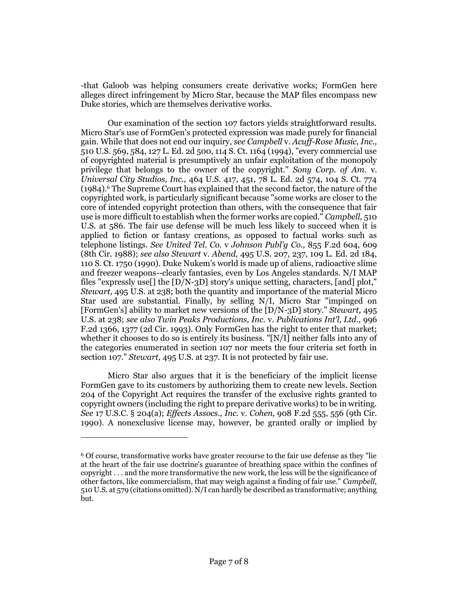-that Galoob was helping consumers create derivative works; FormGen here alleges direct infringement by Micro Star, because the MAP files encompass new Duke stories, which are themselves derivative works.

Our examination of the section 107 factors yields straightforward results. Micro Star's use of FormGen's protected expression was made purely for financial gain. While that does not end our inquiry, *see Campbell* v. *Acuff-Rose Music, Inc.,* 510 U.S. 569, 584, 127 L. Ed. 2d 500, 114 S. Ct. 1164 (1994), "every commercial use of copyrighted material is presumptively an unfair exploitation of the monopoly privilege that belongs to the owner of the copyright." *Sony Corp. of Am.* v. *Universal City Studios, Inc.,* 464 U.S. 417, 451, 78 L. Ed. 2d 574, 104 S. Ct. 774 (1984).<sup>6</sup> The Supreme Court has explained that the second factor, the nature of the copyrighted work, is particularly significant because "some works are closer to the core of intended copyright protection than others, with the consequence that fair use is more difficult to establish when the former works are copied." *Campbell,* 510 U.S. at 586. The fair use defense will be much less likely to succeed when it is applied to fiction or fantasy creations, as opposed to factual works such as telephone listings. *See United Tel. Co.* v *Johnson Publ'g Co.,* 855 F.2d 604, 609 (8th Cir. 1988); *see also Stewart* v. *Abend,* 495 U.S. 207, 237, 109 L. Ed. 2d 184, 110 S. Ct. 1750 (1990). Duke Nukem's world is made up of aliens, radioactive slime and freezer weapons--clearly fantasies, even by Los Angeles standards. N/I MAP files "expressly use[] the [D/N-3D] story's unique setting, characters, [and] plot," *Stewart,* 495 U.S. at 238; both the quantity and importance of the material Micro Star used are substantial. Finally, by selling N/I, Micro Star "impinged on [FormGen's] ability to market new versions of the [D/N-3D] story." *Stewart,* 495 U.S. at 238; *see also Twin Peaks Productions, Inc.* v. *Publications Int'l, Ltd.,* 996 F.2d 1366, 1377 (2d Cir. 1993). Only FormGen has the right to enter that market; whether it chooses to do so is entirely its business. "[N/I] neither falls into any of the categories enumerated in section 107 nor meets the four criteria set forth in section 107." *Stewart,* 495 U.S. at 237. It is not protected by fair use.

Micro Star also argues that it is the beneficiary of the implicit license FormGen gave to its customers by authorizing them to create new levels. Section 204 of the Copyright Act requires the transfer of the exclusive rights granted to copyright owners (including the right to prepare derivative works) to be in writing. *See* 17 U.S.C. § 204(a); *Effects Assocs., Inc.* v. *Cohen,* 908 F.2d 555, 556 (9th Cir. 1990). A nonexclusive license may, however, be granted orally or implied by

<sup>6</sup> Of course, transformative works have greater recourse to the fair use defense as they "lie at the heart of the fair use doctrine's guarantee of breathing space within the confines of copyright . . . and the more transformative the new work, the less will be the significance of other factors, like commercialism, that may weigh against a finding of fair use." *Campbell,* 510 U.S. at 579 (citations omitted). N/I can hardly be described as transformative; anything but.